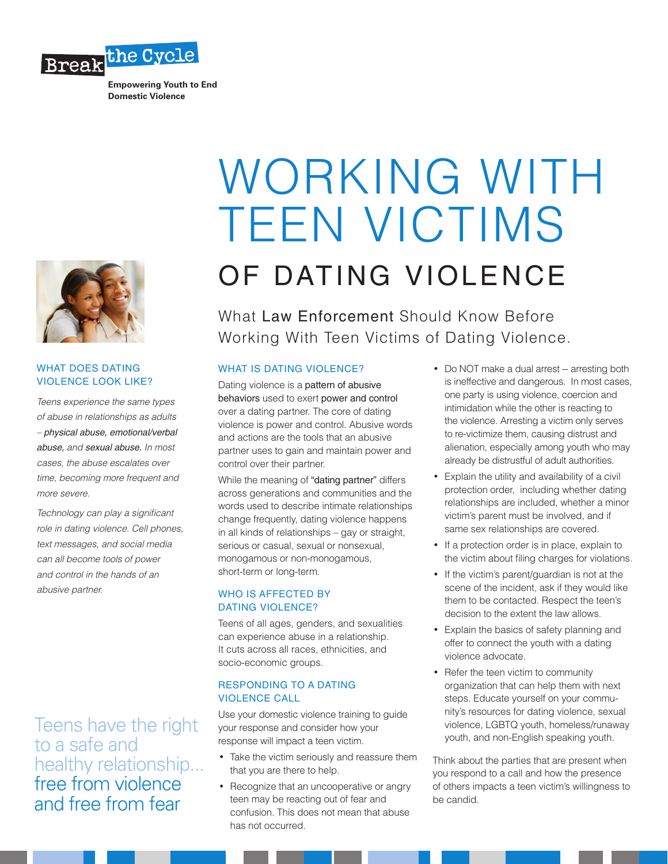

**Empowering Youth to End Domestic Violence**



### WHAT DOES DATING VIOLENCE LOOK LIKE?

*Teens experience the same types of abuse in relationships as adults – physical abuse, emotional/verbal abuse, and sexual abuse. In most cases, the abuse escalates over time, becoming more frequent and more severe.*

*Technology can play a significant role in dating violence. Cell phones, text messages, and social media can all become tools of power and control in the hands of an abusive partner.*

Teens have the right to a safe and healthy relationship... free from violence and free from fear

# WORKING WITH TEEN VICTIMS OF DATING VIOLENCE

What Law Enforcement Should Know Before Working With Teen Victims of Dating Violence.

# WHAT IS DATING VIOLENCE?

Dating violence is a pattern of abusive behaviors used to exert power and control over a dating partner. The core of dating violence is power and control. Abusive words and actions are the tools that an abusive partner uses to gain and maintain power and control over their partner.

While the meaning of "dating partner" differs across generations and communities and the words used to describe intimate relationships change frequently, dating violence happens in all kinds of relationships – gay or straight, serious or casual, sexual or nonsexual, monogamous or non-monogamous, short-term or long-term.

# WHO IS AFFECTED BY DATING VIOLENCE?

Teens of all ages, genders, and sexualities can experience abuse in a relationship. It cuts across all races, ethnicities, and socio-economic groups.

# RESPONDING TO A DATING VIOLENCE CALL

Use your domestic violence training to guide your response and consider how your response will impact a teen victim.

- Take the victim seriously and reassure them that you are there to help.
- Recognize that an uncooperative or angry teen may be reacting out of fear and confusion. This does not mean that abuse has not occurred.
- Do NOT make a dual arrest -- arresting both is ineffective and dangerous. In most cases, one party is using violence, coercion and intimidation while the other is reacting to the violence. Arresting a victim only serves to re-victimize them, causing distrust and alienation, especially among youth who may already be distrustful of adult authorities.
- Explain the utility and availability of a civil protection order, including whether dating relationships are included, whether a minor victim's parent must be involved, and if same sex relationships are covered.
- If a protection order is in place, explain to the victim about filing charges for violations.
- If the victim's parent/guardian is not at the scene of the incident, ask if they would like them to be contacted. Respect the teen's decision to the extent the law allows.
- • Explain the basics of safety planning and offer to connect the youth with a dating violence advocate.
- Refer the teen victim to community organization that can help them with next steps. Educate yourself on your community's resources for dating violence, sexual violence, LGBTQ youth, homeless/runaway youth, and non-English speaking youth.

Think about the parties that are present when you respond to a call and how the presence of others impacts a teen victim's willingness to be candid.